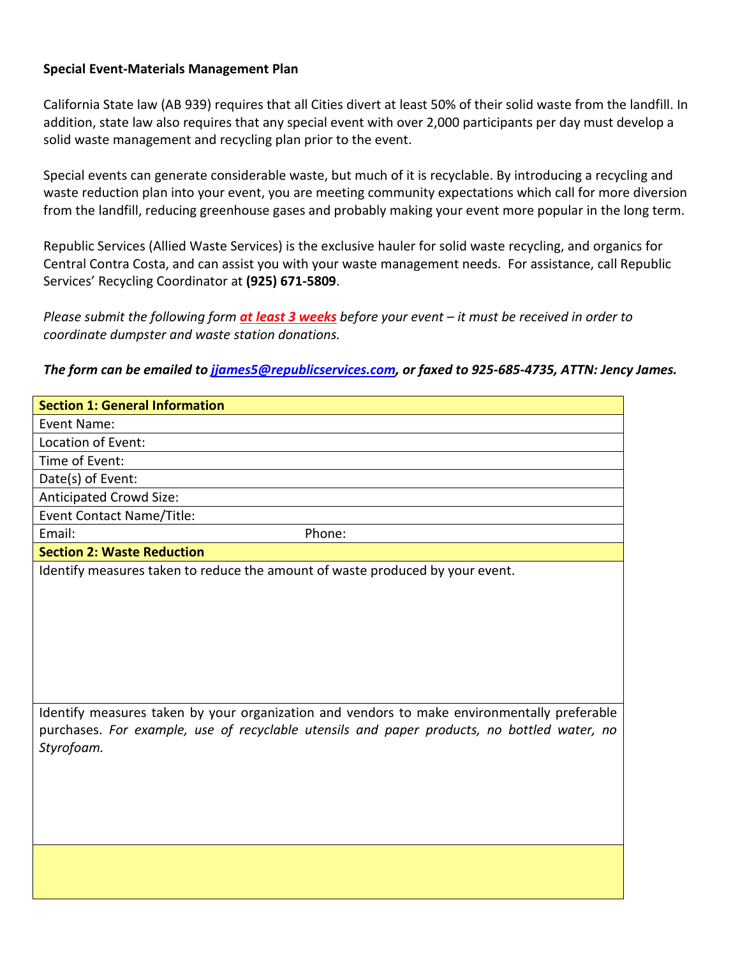## **Special Event-Materials Management Plan**

California State law (AB 939) requires that all Cities divert at least 50% of their solid waste from the landfill. In addition, state law also requires that any special event with over 2,000 participants per day must develop a solid waste management and recycling plan prior to the event.

Special events can generate considerable waste, but much of it is recyclable. By introducing a recycling and waste reduction plan into your event, you are meeting community expectations which call for more diversion from the landfill, reducing greenhouse gases and probably making your event more popular in the long term.

Republic Services (Allied Waste Services) is the exclusive hauler for solid waste recycling, and organics for Central Contra Costa, and can assist you with your waste management needs. For assistance, call Republic Services' Recycling Coordinator at **(925) 671-5809**.

*Please submit the following form at least 3 weeks before your event – it must be received in order to coordinate dumpster and waste station donations.*

*The form can be emailed t[o jjames5@republicservices.com,](mailto:jjames5@republicservices.com) or faxed to 925-685-4735, ATTN: Jency James.*

| <b>Section 1: General Information</b>                                                                     |
|-----------------------------------------------------------------------------------------------------------|
| Event Name:                                                                                               |
| Location of Event:                                                                                        |
| Time of Event:                                                                                            |
| Date(s) of Event:                                                                                         |
| Anticipated Crowd Size:                                                                                   |
| Event Contact Name/Title:                                                                                 |
| Email:<br>Phone:                                                                                          |
| <b>Section 2: Waste Reduction</b>                                                                         |
| Identify measures taken to reduce the amount of waste produced by your event.                             |
|                                                                                                           |
|                                                                                                           |
|                                                                                                           |
|                                                                                                           |
|                                                                                                           |
|                                                                                                           |
|                                                                                                           |
| Identify measures taken by your organization and vendors to make environmentally preferable               |
| purchases. For example, use of recyclable utensils and paper products, no bottled water, no<br>Styrofoam. |
|                                                                                                           |
|                                                                                                           |
|                                                                                                           |
|                                                                                                           |
|                                                                                                           |
|                                                                                                           |
|                                                                                                           |
|                                                                                                           |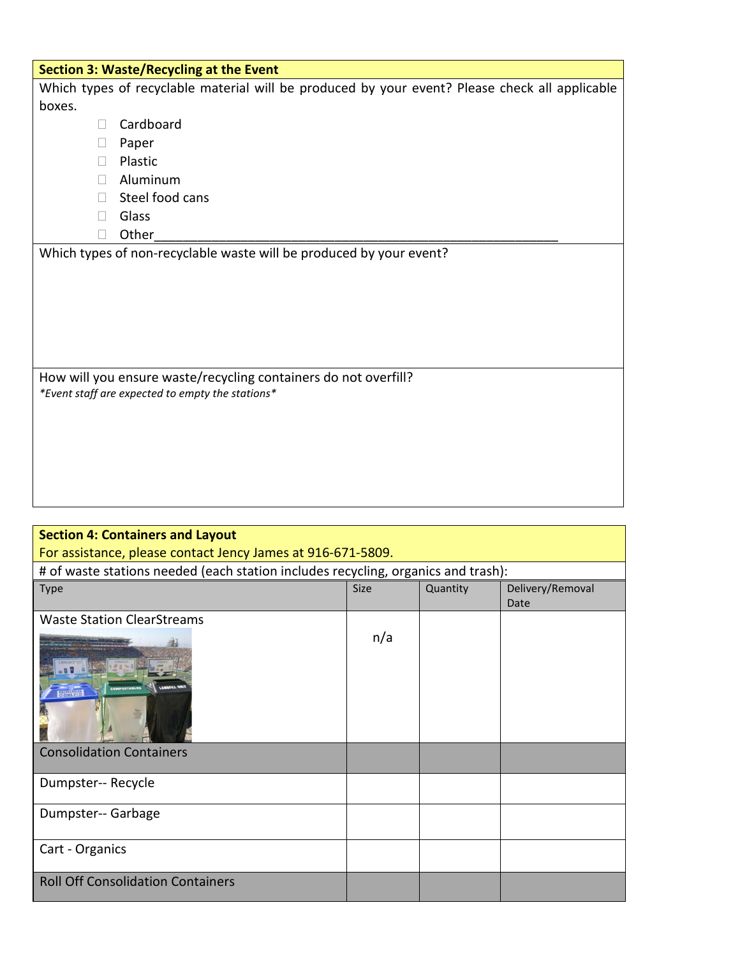|                                                                     | <b>Section 3: Waste/Recycling at the Event</b>                                                 |  |  |  |  |
|---------------------------------------------------------------------|------------------------------------------------------------------------------------------------|--|--|--|--|
|                                                                     | Which types of recyclable material will be produced by your event? Please check all applicable |  |  |  |  |
| boxes.                                                              |                                                                                                |  |  |  |  |
| $\Box$                                                              | Cardboard                                                                                      |  |  |  |  |
|                                                                     | Paper                                                                                          |  |  |  |  |
| П                                                                   | Plastic                                                                                        |  |  |  |  |
| $\Box$                                                              | Aluminum                                                                                       |  |  |  |  |
| $\mathbf{L}$                                                        | Steel food cans                                                                                |  |  |  |  |
| П                                                                   | Glass                                                                                          |  |  |  |  |
| ш                                                                   | Other                                                                                          |  |  |  |  |
| Which types of non-recyclable waste will be produced by your event? |                                                                                                |  |  |  |  |
|                                                                     |                                                                                                |  |  |  |  |
|                                                                     |                                                                                                |  |  |  |  |
|                                                                     |                                                                                                |  |  |  |  |
|                                                                     |                                                                                                |  |  |  |  |
|                                                                     |                                                                                                |  |  |  |  |
|                                                                     |                                                                                                |  |  |  |  |
| How will you ensure waste/recycling containers do not overfill?     |                                                                                                |  |  |  |  |
|                                                                     | *Event staff are expected to empty the stations*                                               |  |  |  |  |
|                                                                     |                                                                                                |  |  |  |  |
|                                                                     |                                                                                                |  |  |  |  |
|                                                                     |                                                                                                |  |  |  |  |
|                                                                     |                                                                                                |  |  |  |  |

| <b>Section 4: Containers and Layout</b>                                           |             |          |                          |  |  |  |
|-----------------------------------------------------------------------------------|-------------|----------|--------------------------|--|--|--|
| For assistance, please contact Jency James at 916-671-5809.                       |             |          |                          |  |  |  |
| # of waste stations needed (each station includes recycling, organics and trash): |             |          |                          |  |  |  |
| <b>Type</b>                                                                       | <b>Size</b> | Quantity | Delivery/Removal<br>Date |  |  |  |
| <b>Waste Station ClearStreams</b>                                                 |             |          |                          |  |  |  |
| <b>BONNIS</b>                                                                     | n/a         |          |                          |  |  |  |
| <b>Consolidation Containers</b>                                                   |             |          |                          |  |  |  |
| Dumpster-- Recycle                                                                |             |          |                          |  |  |  |
| Dumpster-- Garbage                                                                |             |          |                          |  |  |  |
| Cart - Organics                                                                   |             |          |                          |  |  |  |
| <b>Roll Off Consolidation Containers</b>                                          |             |          |                          |  |  |  |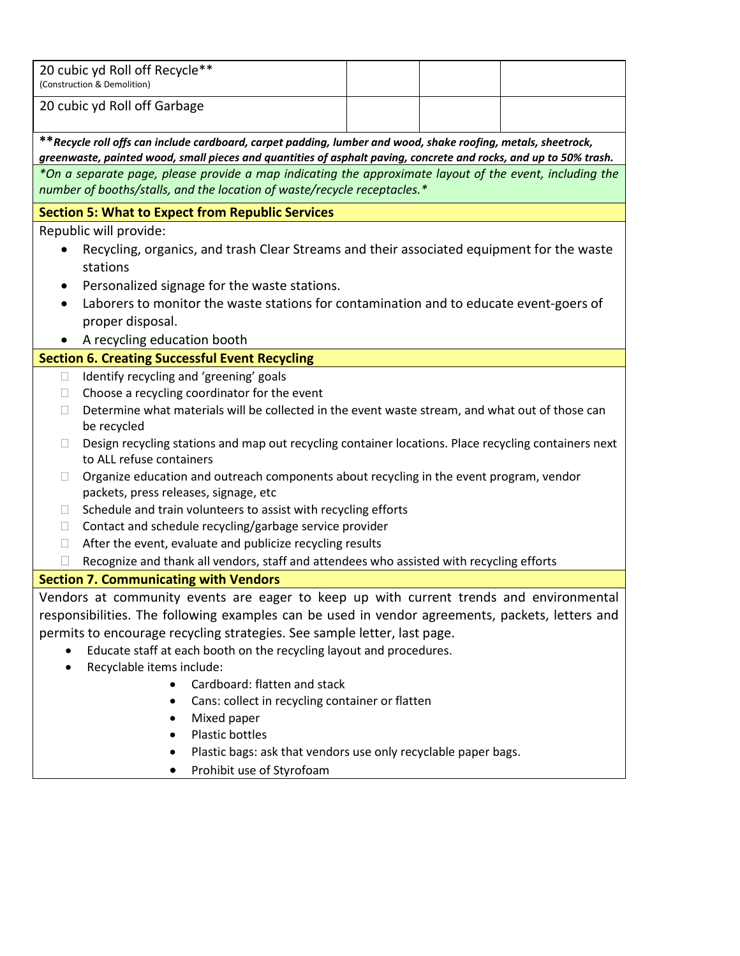| 20 cubic yd Roll off Recycle**<br>(Construction & Demolition)                                                                                                                                                                       |  |  |  |  |  |  |
|-------------------------------------------------------------------------------------------------------------------------------------------------------------------------------------------------------------------------------------|--|--|--|--|--|--|
| 20 cubic yd Roll off Garbage                                                                                                                                                                                                        |  |  |  |  |  |  |
|                                                                                                                                                                                                                                     |  |  |  |  |  |  |
| ** Recycle roll offs can include cardboard, carpet padding, lumber and wood, shake roofing, metals, sheetrock,<br>greenwaste, painted wood, small pieces and quantities of asphalt paving, concrete and rocks, and up to 50% trash. |  |  |  |  |  |  |
| *On a separate page, please provide a map indicating the approximate layout of the event, including the                                                                                                                             |  |  |  |  |  |  |
| number of booths/stalls, and the location of waste/recycle receptacles.*                                                                                                                                                            |  |  |  |  |  |  |
| <b>Section 5: What to Expect from Republic Services</b>                                                                                                                                                                             |  |  |  |  |  |  |
| Republic will provide:                                                                                                                                                                                                              |  |  |  |  |  |  |
| Recycling, organics, and trash Clear Streams and their associated equipment for the waste<br>stations                                                                                                                               |  |  |  |  |  |  |
| Personalized signage for the waste stations.                                                                                                                                                                                        |  |  |  |  |  |  |
| Laborers to monitor the waste stations for contamination and to educate event-goers of                                                                                                                                              |  |  |  |  |  |  |
| proper disposal.                                                                                                                                                                                                                    |  |  |  |  |  |  |
| A recycling education booth                                                                                                                                                                                                         |  |  |  |  |  |  |
| <b>Section 6. Creating Successful Event Recycling</b>                                                                                                                                                                               |  |  |  |  |  |  |
| Identify recycling and 'greening' goals<br>$\Box$                                                                                                                                                                                   |  |  |  |  |  |  |
| Choose a recycling coordinator for the event<br>$\Box$                                                                                                                                                                              |  |  |  |  |  |  |
| Determine what materials will be collected in the event waste stream, and what out of those can<br>$\Box$<br>be recycled                                                                                                            |  |  |  |  |  |  |
| Design recycling stations and map out recycling container locations. Place recycling containers next<br>to ALL refuse containers                                                                                                    |  |  |  |  |  |  |
| Organize education and outreach components about recycling in the event program, vendor<br>$\Box$                                                                                                                                   |  |  |  |  |  |  |
| packets, press releases, signage, etc                                                                                                                                                                                               |  |  |  |  |  |  |
| Schedule and train volunteers to assist with recycling efforts<br>$\Box$                                                                                                                                                            |  |  |  |  |  |  |
| Contact and schedule recycling/garbage service provider<br>Ш                                                                                                                                                                        |  |  |  |  |  |  |
| After the event, evaluate and publicize recycling results<br>$\mathbb{R}^n$<br>Recognize and thank all vendors, staff and attendees who assisted with recycling efforts                                                             |  |  |  |  |  |  |
| <b>Section 7. Communicating with Vendors</b>                                                                                                                                                                                        |  |  |  |  |  |  |
| Vendors at community events are eager to keep up with current trends and environmental                                                                                                                                              |  |  |  |  |  |  |
| responsibilities. The following examples can be used in vendor agreements, packets, letters and                                                                                                                                     |  |  |  |  |  |  |
|                                                                                                                                                                                                                                     |  |  |  |  |  |  |
| permits to encourage recycling strategies. See sample letter, last page.<br>Educate staff at each booth on the recycling layout and procedures.                                                                                     |  |  |  |  |  |  |
| Recyclable items include:                                                                                                                                                                                                           |  |  |  |  |  |  |
| Cardboard: flatten and stack                                                                                                                                                                                                        |  |  |  |  |  |  |
| Cans: collect in recycling container or flatten                                                                                                                                                                                     |  |  |  |  |  |  |
| Mixed paper                                                                                                                                                                                                                         |  |  |  |  |  |  |
| Plastic bottles                                                                                                                                                                                                                     |  |  |  |  |  |  |
| Plastic bags: ask that vendors use only recyclable paper bags.                                                                                                                                                                      |  |  |  |  |  |  |
| Prohibit use of Styrofoam                                                                                                                                                                                                           |  |  |  |  |  |  |